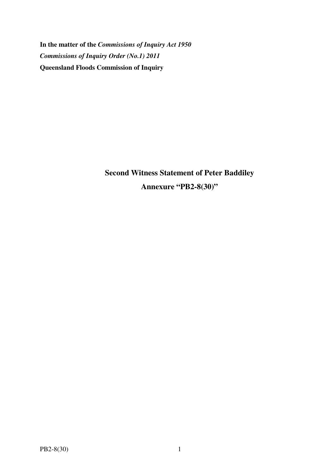**In the matter of the** *Commissions of Inquiry Act 1950 Commissions of Inquiry Order (No.1) 2011* **Queensland Floods Commission of Inquiry** 

> **Second Witness Statement of Peter Baddiley Annexure "PB2-8(30)"**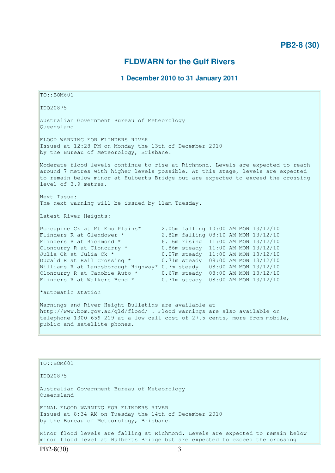# **FLDWARN for the Gulf Rivers**

## **1 December 2010 to 31 January 2011**

TO::BOM601 IDQ20875 Australian Government Bureau of Meteorology Queensland FLOOD WARNING FOR FLINDERS RIVER Issued at 12:28 PM on Monday the 13th of December 2010 by the Bureau of Meteorology, Brisbane. Moderate flood levels continue to rise at Richmond. Levels are expected to reach around 7 metres with higher levels possible. At this stage, levels are expected to remain below minor at Hulberts Bridge but are expected to exceed the crossing level of 3.9 metres. Next Issue: The next warning will be issued by 11am Tuesday. Latest River Heights: Porcupine Ck at Mt Emu Plains\* 2.05m falling 10:00 AM MON 13/12/10 Flinders R at Glendower \* 2.82m falling 08:10 AM MON 13/12/10<br>Flinders R at Richmond \* 6.16m rising 11:00 AM MON 13/12/10 6.16m rising 11:00 AM MON 13/12/10 Cloncurry R at Cloncurry  $*$  0.86m steady 11:00 AM MON 13/12/10 Julia Ck at Julia Ck \* 0.07m steady 11:00 AM MON 13/12/10 Dugald R at Rail Crossing  $*$  0.71m steady 08:00 AM MON 13/12/10 Williams R at Landsborough Highway\* 0.7m steady 08:00 AM MON 13/12/10 Cloncurry R at Canobie Auto  $\star$  0.67m steady 08:00 AM MON 13/12/10 Flinders R at Walkers Bend  $*$  0.71m steady 08:00 AM MON 13/12/10 \*automatic station Warnings and River Height Bulletins are available at http://www.bom.gov.au/qld/flood/ . Flood Warnings are also available on telephone 1300 659 219 at a low call cost of 27.5 cents, more from mobile, public and satellite phones.

 $TO: **ROM601**$ IDQ20875 Australian Government Bureau of Meteorology Queensland FINAL FLOOD WARNING FOR FLINDERS RIVER Issued at 8:34 AM on Tuesday the 14th of December 2010 by the Bureau of Meteorology, Brisbane. Minor flood levels are falling at Richmond. Levels are expected to remain below minor flood level at Hulberts Bridge but are expected to exceed the crossing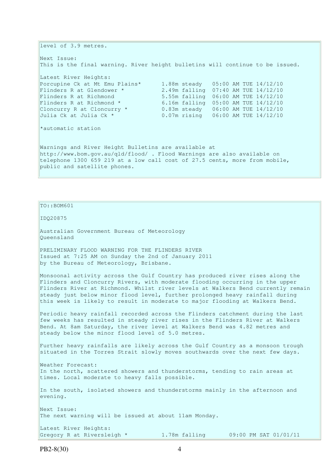level of 3.9 metres. Next Issue: This is the final warning. River height bulletins will continue to be issued. Latest River Heights:<br>Porcupine Ck at Mt Emu Plains\* 1.88m steady 05:00 AM TUE 14/12/10 Porcupine Ck at Mt Emu Plains\* 1.88m steady 05:00 AM TUE 14/12/10 Flinders R at Glendower \* 2.49m falling 07:40 AM TUE 14/12/10 Flinders R at Richmond 5.55m falling 06:00 AM TUE 14/12/10 Flinders R at Richmond  $*$  6.16m falling 05:00 AM TUE 14/12/10 Cloncurry R at Cloncurry  $*$  0.83m steady 06:00 AM TUE  $14/12/10$ Julia Ck at Julia Ck \* 0.07m rising 06:00 AM TUE 14/12/10 \*automatic station Warnings and River Height Bulletins are available at http://www.bom.gov.au/qld/flood/ . Flood Warnings are also available on telephone 1300 659 219 at a low call cost of 27.5 cents, more from mobile, public and satellite phones.

IDQ20875 Australian Government Bureau of Meteorology Queensland PRELIMINARY FLOOD WARNING FOR THE FLINDERS RIVER Issued at 7:25 AM on Sunday the 2nd of January 2011 by the Bureau of Meteorology, Brisbane. Monsoonal activity across the Gulf Country has produced river rises along the Flinders and Cloncurry Rivers, with moderate flooding occurring in the upper Flinders River at Richmond. Whilst river levels at Walkers Bend currently remain steady just below minor flood level, further prolonged heavy rainfall during this week is likely to result in moderate to major flooding at Walkers Bend. Periodic heavy rainfall recorded across the Flinders catchment during the last few weeks has resulted in steady river rises in the Flinders River at Walkers Bend. At 8am Saturday, the river level at Walkers Bend was 4.82 metres and steady below the minor flood level of 5.0 metres. Further heavy rainfalls are likely across the Gulf Country as a monsoon trough situated in the Torres Strait slowly moves southwards over the next few days. Weather Forecast: In the north, scattered showers and thunderstorms, tending to rain areas at times. Local moderate to heavy falls possible. In the south, isolated showers and thunderstorms mainly in the afternoon and evening. Next Issue: The next warning will be issued at about 11am Monday. Latest River Heights: Gregory R at Riversleigh \*  $1.78$ m falling  $09:00$  PM SAT  $01/01/11$ 

TO::BOM601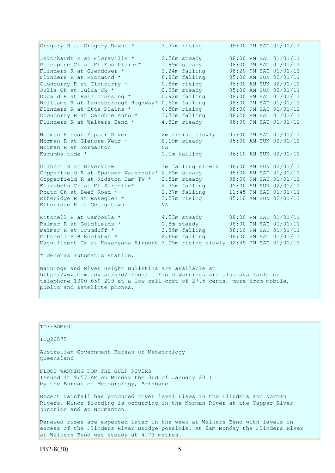Gregory R at Gregory Downs \* 3.77m rising 09:00 PM SAT 01/01/11 Leichhardt R at Floraville \* 2.58m steady 08:00 PM SAT 01/01/11 Porcupine Ck at Mt Emu Plains\* 1.99m steady 08:00 PM SAT 01/01/11 Flinders R at Glendower \* 3.24m falling 08:20 PM SAT 01/01/11 Flinders R at Richmond  $*$  6.83m falling 05:00 AM SUN 02/01/11 Cloncurry R at Cloncurry  $*$  0.86m rising 05:00 AM SUN 02/01/11 Julia Ck at Julia Ck \* 0.93m steady 05:00 AM SUN 02/01/11 Dugald R at Rail Crossing \* 0.92m falling 08:00 PM SAT 01/01/11 Williams R at Landsborough Highway\* 0.62m falling 08:00 PM SAT 01/01/11 Flinders R at Etta Plains \* 6.58m rising 08:00 PM SAT 01/01/11 Cloncurry R at Canobie Auto \* 3.73m falling 08:20 PM SAT 01/01/11 Flinders R at Walkers Bend  $*$  4.82m steady  $0.08:00$  PM SAT 01/01/11 Norman R near Yappar River 2m rising slowly 07:00 PM SAT 01/01/11 Norman R at Glenore Weir \* 8.19m steady 05:00 AM SUN 02/01/11 Norman R at Normanton NA Karumba tide \* 1.1m falling 06:10 AM SUN 02/01/11 Gilbert R at Riverview 3m falling slowly 06:00 AM SUN 02/01/11 Copperfield R at Spanner Waterhole\* 2.65m steady 08:00 AM SAT 01/01/11 Copperfield R at Kidston Dam TW \* 2.51m steady 08:00 PM SAT 01/01/11 Elizabeth Ck at Mt Surprise\* 2.35m falling 05:00 AM SUN 02/01/11 Routh Ck at Beef Road  $\star$  2.37m falling 11:45 PM SAT 01/01/11 Etheridge R at Roseglen \* 3.57m rising 05:10 AM SUN 02/01/11 Etheridge R at Georgetown NA Mitchell R at Gamboola  $*$  4.53m steady 08:00 PM SAT 01/01/11 Palmer R at Goldfields \* 1.8m steady 08:00 PM SAT 01/01/11 Palmer R at Drumduff \* 2.89m falling 08:10 PM SAT 01/01/11 Mitchell R @ Koolatah \* 8.66m falling 08:00 PM SAT 01/01/11 Magnificent Ck at Kowanyama Airport 3.05m rising slowly 02:45 PM SAT 01/01/11  $*$  denotes automatic station. Warnings and River Height Bulletins are available at http://www.bom.gov.au/qld/flood/ . Flood Warnings are also available on

telephone 1300 659 219 at a low call cost of 27.5 cents, more from mobile, public and satellite phones.

TO::BOM601 IDQ20875 Australian Government Bureau of Meteorology Queensland FLOOD WARNING FOR THE GULF RIVERS Issued at 9:57 AM on Monday the 3rd of January 2011 by the Bureau of Meteorology, Brisbane. Recent rainfall has produced river level rises in the Flinders and Norman Rivers. Minor flooding is occurring in the Norman River at the Yappar River junction and at Normanton. Renewed rises are expected later in the week at Walkers Bend with levels in excess of the Flinders River Bridge possible. At 8am Monday the Flinders River

at Walkers Bend was steady at 4.73 metres.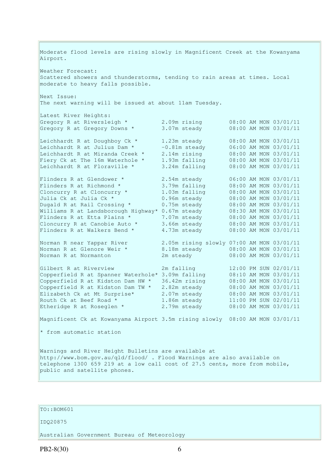Moderate flood levels are rising slowly in Magnificent Creek at the Kowanyama Airport. Weather Forecast: Scattered showers and thunderstorms, tending to rain areas at times. Local moderate to heavy falls possible. Next Issue: The next warning will be issued at about 11am Tuesday. Latest River Heights: Gregory R at Riversleigh \* 2.09m rising 08:00 AM MON 03/01/11 Gregory R at Gregory Downs \* 3.07m steady 08:00 AM MON 03/01/11 Leichhardt R at Doughboy Ck \* 1.23m steady 08:00 AM MON 03/01/11 Leichhardt R at Julius Dam \*  $-0.81$ m steady  $06:00$  AM MON 03/01/11 Leichhardt R at Miranda Creek \* 2.14m rising 08:00 AM MON 03/01/11 Fiery Ck at The 16m Waterhole \* 1.93m falling 08:00 AM MON 03/01/11 Leichhardt R at Floraville \* 3.24m falling 08:00 AM MON 03/01/11 Flinders R at Glendower  $*$  2.54m steady 06:00 AM MON 03/01/11 Flinders R at Richmond  $*$  3.79m falling  $08:00$  AM MON 03/01/11 Cloncurry R at Cloncurry  $*$  1.03m falling 08:00 AM MON 03/01/11 Julia Ck at Julia Ck \* 0.96m steady 08:00 AM MON 03/01/11 Dugald R at Rail Crossing \* 0.75m steady 08:00 AM MON 03/01/11 Williams R at Landsborough Highway\* 0.67m steady 08:30 AM MON 03/01/11 Flinders R at Etta Plains \* 7.07m steady 08:00 AM MON 03/01/11 Cloncurry R at Canobie Auto  $*$  3.66m steady 08:00 AM MON 03/01/11 Flinders R at Walkers Bend  $*$  4.73m steady  $08:00$  AM MON 03/01/11 Norman R near Yappar River 2.05m rising slowly 07:00 AM MON 03/01/11 Norman R at Glenore Weir \* 8.18m steady 08:00 AM MON 03/01/11 Norman R at Normanton 2m steady 08:00 AM MON 03/01/11 Gilbert R at Riverview 2m falling 12:00 PM SUN 02/01/11 Copperfield R at Spanner Waterhole\* 3.09m falling 08:10 AM MON 03/01/11 Copperfield R at Kidston Dam HW \* 36.42m rising 08:00 AM MON 03/01/11 Copperfield R at Kidston Dam TW \* 2.82m steady 08:00 AM MON 03/01/11 Elizabeth Ck at Mt Surprise\* 2.07m steady 08:00 AM MON 03/01/11 Routh Ck at Beef Road  $\star$  1.86m steady 11:00 PM SUN 02/01/11 Etheridge R at Roseglen  $*$  2.79m steady 08:00 AM MON 03/01/11 Magnificent Ck at Kowanyama Airport 3.5m rising slowly 08:00 AM MON 03/01/11 \* from automatic station Warnings and River Height Bulletins are available at http://www.bom.gov.au/qld/flood/ . Flood Warnings are also available on telephone 1300 659 219 at a low call cost of 27.5 cents, more from mobile,

### TO::BOM601

public and satellite phones.

#### IDQ20875

Australian Government Bureau of Meteorology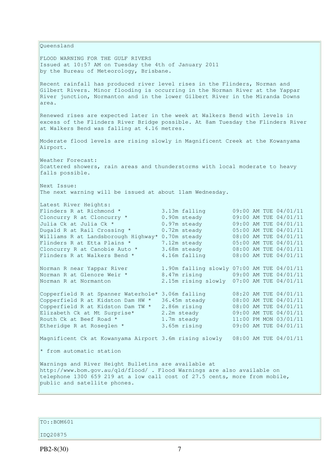Queensland FLOOD WARNING FOR THE GULF RIVERS Issued at 10:57 AM on Tuesday the 4th of January 2011 by the Bureau of Meteorology, Brisbane. Recent rainfall has produced river level rises in the Flinders, Norman and Gilbert Rivers. Minor flooding is occurring in the Norman River at the Yappar River junction, Normanton and in the lower Gilbert River in the Miranda Downs area. Renewed rises are expected later in the week at Walkers Bend with levels in excess of the Flinders River Bridge possible. At 8am Tuesday the Flinders River at Walkers Bend was falling at 4.16 metres. Moderate flood levels are rising slowly in Magnificent Creek at the Kowanyama Airport. Weather Forecast: Scattered showers, rain areas and thunderstorms with local moderate to heavy falls possible. Next Issue: The next warning will be issued at about 11am Wednesday. Latest River Heights: Flinders R at Richmond \*  $\begin{array}{ccc} 3.13\text{m} \text{ falling} & 09:00 \text{ AM} \text{ TUE } 04/01/11 \\ \text{Cloncury R at Cloncury *} & 0.90\text{m} \text{ steady} & 09:00 \text{ AM} \text{ TUE } 04/01/11 \\ \text{C. } & 0.97\text{ m} \text{ steady} & 0.900 \text{ AM} \text{ TUE } 04/01/11 \\ \end{array}$ Cloncurry R at Cloncurry \*  $0.90m$  steady  $0.97m$  steady  $0.970$  AM TUE  $0.4/01/11$ <br>
Julia Ck at Julia Ck \*  $0.97m$  steady  $0.99:00$  AM TUE  $0.4/01/11$ Julia Ck at Julia Ck  $\star$  0.97m steady 09:00 AM TUE 04/01/11 Dugald R at Rail Crossing \* 0.72m steady 05:00 AM TUE 04/01/11 Dugald R at Rail Crossing \*  $0.72$ m steady  $0.95:00$  AM TUE 04/01/11 Williams R at Landsborough Highway\* 0.70m steady  $0.8:00$  AM TUE 04/01/11 Flinders R at Etta Plains  $*$  7.12m steady 05:00 AM TUE 04/01/11 Cloncurry R at Canobie Auto  $\star$  3.68m steady 08:00 AM TUE 04/01/11 Flinders R at Walkers Bend  $*$  4.16m falling  $08:00$  AM TUE 04/01/11 Norman R near Yappar River 1.90m falling slowly 07:00 AM TUE 04/01/11 Norman R at Glenore Weir \* 8.47m rising 09:00 AM TUE 04/01/11 Norman R at Normanton 2.15m rising slowly 07:00 AM TUE 04/01/11 Copperfield R at Spanner Waterhole\* 3.06m falling 08:20 AM TUE 04/01/11 Copperfield R at Kidston Dam HW  $*$  36.45m steady 08:00 AM TUE 04/01/11 Copperfield R at Kidston Dam TW  $*$  2.86m rising 08:00 AM TUE 04/01/11 Elizabeth Ck at Mt Surprise\* 2.2m steady 09:00 AM TUE 04/01/11 Routh Ck at Beef Road  $\star$  1.7m steady 11:00 PM MON 03/01/11 Etheridge R at Roseglen \* 3.65m rising 09:00 AM TUE 04/01/11 Magnificent Ck at Kowanyama Airport 3.6m rising slowly 08:00 AM TUE 04/01/11 \* from automatic station Warnings and River Height Bulletins are available at http://www.bom.gov.au/qld/flood/ . Flood Warnings are also available on telephone 1300 659 219 at a low call cost of 27.5 cents, more from mobile, public and satellite phones.

TO::BOM601

IDQ20875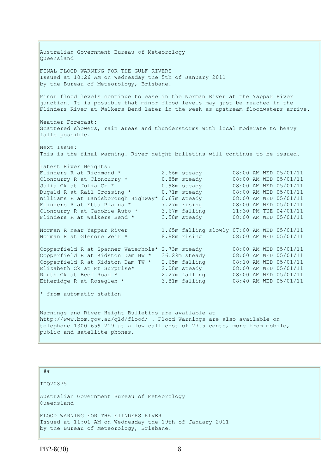Australian Government Bureau of Meteorology Queensland FINAL FLOOD WARNING FOR THE GULF RIVERS Issued at 10:26 AM on Wednesday the 5th of January 2011 by the Bureau of Meteorology, Brisbane. Minor flood levels continue to ease in the Norman River at the Yappar River junction. It is possible that minor flood levels may just be reached in the Flinders River at Walkers Bend later in the week as upstream floodwaters arrive. Weather Forecast: Scattered showers, rain areas and thunderstorms with local moderate to heavy falls possible. Next Issue: This is the final warning. River height bulletins will continue to be issued. Latest River Heights: Flinders R at Richmond \*  $2.66$ m steady  $0.85$ m steady  $0.98$ m steady  $0.98$ m steady  $0.98$ m steady  $0.98$ m steady  $0.98$ m steady  $0.98$ m steady  $0.98$ m steady  $0.98$ m steady  $0.98$ m steady  $0.98$ m steady  $0.98$ m steady  $0$ Cloncurry R at Cloncurry  $*$  0.85m steady Julia Ck at Julia Ck \* 0.98m steady 08:00 AM WED 05/01/11 Dugald R at Rail Crossing  $*$  0.71m steady 08:00 AM WED 05/01/11 Williams R at Landsborough Highway\* 0.67m steady 08:00 AM WED 05/01/11 Flinders R at Etta Plains \* 7.27m rising 08:00 AM WED 05/01/11 Cloncurry R at Canobie Auto  $\star$  3.67m falling 11:30 PM TUE 04/01/11 Flinders R at Walkers Bend  $*$  3.58m steady 08:00 AM WED 05/01/11 Norman R near Yappar River 1.65m falling slowly 07:00 AM WED 05/01/11 Norman R at Glenore Weir \* 8.88m rising 08:00 AM WED 05/01/11 Copperfield R at Spanner Waterhole\* 2.73m steady 08:00 AM WED 05/01/11 Copperfield R at Kidston Dam HW  $*$  36.29m steady 08:00 AM WED 05/01/11 Copperfield R at Kidston Dam TW  $*$  2.65m falling  $0.08:10$  AM WED 05/01/11 Elizabeth Ck at Mt Surprise\* 2.08m steady 08:00 AM WED 05/01/11 Routh Ck at Beef Road  $*$  2.27m falling  $0.00$  AM WED 05/01/11 Etheridge R at Roseglen \* 3.81m falling 08:40 AM WED 05/01/11 \* from automatic station Warnings and River Height Bulletins are available at http://www.bom.gov.au/qld/flood/ . Flood Warnings are also available on telephone 1300 659 219 at a low call cost of 27.5 cents, more from mobile, public and satellite phones.

##

IDQ20875

Australian Government Bureau of Meteorology Queensland

FLOOD WARNING FOR THE FlINDERS RIVER Issued at 11:01 AM on Wednesday the 19th of January 2011 by the Bureau of Meteorology, Brisbane.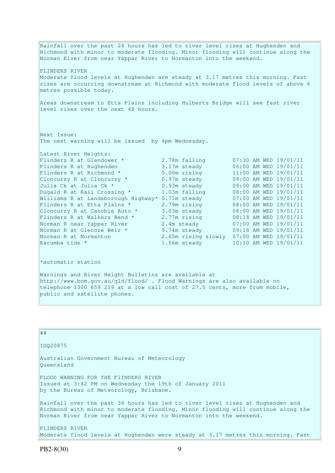Rainfall over the past 24 hours has led to river level rises at Hughenden and Richmond with minor to moderate flooding. Minor flooding will continue along the Norman River from near Yappar River to Normanton into the weekend. FLINDERS RIVER Moderate flood levels at Hughenden are steady at 3.17 metres this morning. Fast rises are occurring downstream at Richmond with moderate flood levels of above 6 metres possible today. Areas downstream to Etta Plains including Hulberts Bridge will see fast river level rises over the next 48 hours. Next Issue: The next warning will be issued by 4pm Wednesday. Latest River Heights:<br>Flinders R at Glendower \* Flinders R at Glendower \* 2.78m falling 07:30 AM WED 19/01/11 Flinders R at Hughenden 3.17m steady 06:00 AM WED 19/01/11 Flinders R at Richmond \* 5.00m rising 11:00 AM WED 19/01/11 Cloncurry R at Cloncurry  $*$  0.97m steady 09:00 AM WED 19/01/11 Julia Ck at Julia Ck \* 0.93m steady 09:00 AM WED 19/01/11 Dugald R at Rail Crossing \* 1.03m falling 08:00 AM WED 19/01/11 Williams R at Landsborough Highway\* 0.71m steady 07:00 AM WED 19/01/11 Flinders R at Etta Plains \* 2.79m rising 08:00 AM WED 19/01/11 Cloncurry R at Canobie Auto  $\star$  3.03m steady 08:00 AM WED 19/01/11 Flinders R at Walkers Bend \*  $2.77$ m rising  $08:18$  AM WED  $19/01/11$ Norman R near Yappar River 2.4m steady 07:00 AM WED 19/01/11 Norman R at Glenore Weir \* 9.74m steady 09:18 AM WED 19/01/11 Norman R at Normanton 2.65m rising slowly 07:00 AM WED 19/01/11 Karumba tide \*  $1.56$ m steady  $10:10$  AM WED  $19/01/11$ 

\*automatic station

Warnings and River Height Bulletins are available at http://www.bom.gov.au/qld/flood/ . Flood Warnings are also available on telephone 1300 659 219 at a low call cost of 27.5 cents, more from mobile, public and satellite phones.

| ##                                                                                                                                                                                                                                      |
|-----------------------------------------------------------------------------------------------------------------------------------------------------------------------------------------------------------------------------------------|
| IDQ20875                                                                                                                                                                                                                                |
| Australian Government Bureau of Meteorology<br>Oueensland                                                                                                                                                                               |
| FLOOD WARNING FOR THE FIINDERS RIVER<br>Issued at 3:42 PM on Wednesday the 19th of January 2011<br>by the Bureau of Meteorology, Brisbane.                                                                                              |
| Rainfall over the past 36 hours has led to river level rises at Hughenden and<br>Richmond with minor to moderate flooding. Minor flooding will continue along the<br>Norman River from near Yappar River to Normanton into the weekend. |
| FLINDERS RIVER<br>Moderate flood levels at Hughenden were steady at 3.17 metres this morning. Fast                                                                                                                                      |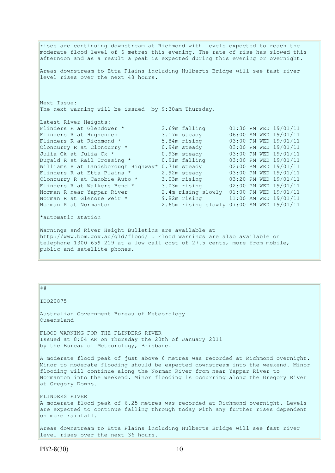rises are continuing downstream at Richmond with levels expected to reach the moderate flood level of 6 metres this evening. The rate of rise has slowed this afternoon and as a result a peak is expected during this evening or overnight. Areas downstream to Etta Plains including Hulberts Bridge will see fast river level rises over the next 48 hours. Next Issue: The next warning will be issued by 9:30am Thursday. Latest River Heights:<br>Flinders R at Glendower \* Flinders R at Glendower \* 2.69m falling 01:30 PM WED 19/01/11 Flinders R at Hughenden 3.17m steady 06:00 AM WED 19/01/11 Flinders R at Richmond \* 5.84m rising 03:00 PM WED 19/01/11 Cloncurry R at Cloncurry  $*$  0.94m steady 03:00 PM WED 19/01/11 Julia Ck at Julia Ck \* 0.93m steady 03:00 PM WED 19/01/11 Dugald R at Rail Crossing \* 0.91m falling 03:00 PM WED 19/01/11 Williams R at Landsborough Highway\* 0.71m steady 02:00 PM WED 19/01/11 Flinders R at Etta Plains \* 2.92m steady 03:00 PM WED 19/01/11 Cloncurry R at Canobie Auto \* 3.03m rising 03:20 PM WED 19/01/11 Flinders R at Walkers Bend \* 3.03m rising 02:00 PM WED 19/01/11 Norman R near Yappar River 2.4m rising slowly 01:00 PM WED 19/01/11 Norman R at Glenore Weir \* 9.82m rising 11:00 AM WED 19/01/11 Norman R at Normanton 2.65m rising slowly 07:00 AM WED 19/01/11 \*automatic station Warnings and River Height Bulletins are available at http://www.bom.gov.au/qld/flood/ . Flood Warnings are also available on

telephone 1300 659 219 at a low call cost of 27.5 cents, more from mobile, public and satellite phones.

#### ##

IDQ20875

Australian Government Bureau of Meteorology Queensland

FLOOD WARNING FOR THE FLINDERS RIVER Issued at 8:04 AM on Thursday the 20th of January 2011 by the Bureau of Meteorology, Brisbane.

A moderate flood peak of just above 6 metres was recorded at Richmond overnight. Minor to moderate flooding should be expected downstream into the weekend. Minor flooding will continue along the Norman River from near Yappar River to Normanton into the weekend. Minor flooding is occurring along the Gregory River at Gregory Downs.

FLINDERS RIVER A moderate flood peak of 6.25 metres was recorded at Richmond overnight. Levels are expected to continue falling through today with any further rises dependent on more rainfall.

Areas downstream to Etta Plains including Hulberts Bridge will see fast river level rises over the next 36 hours.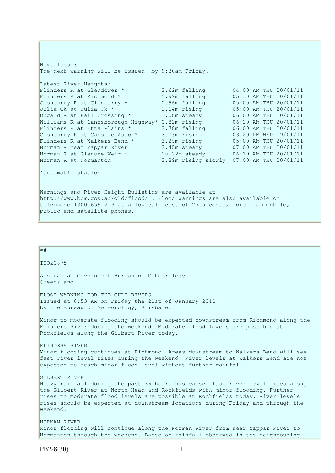Next Issue: The next warning will be issued by 9:30am Friday. Latest River Heights: Flinders R at Glendower  $*$  2.62m falling  $04:00$  AM THU 20/01/11 Flinders R at Richmond \* 5.99m falling 05:30 AM THU 20/01/11 Cloncurry R at Cloncurry  $*$  0.96m falling 05:00 AM THU 20/01/11 Julia Ck at Julia Ck \* 1.14m rising 05:00 AM THU 20/01/11 Dugald R at Rail Crossing \* 1.08m steady 06:00 AM THU 20/01/11 Williams R at Landsborough Highway\* 0.82m rising 06:20 AM THU 20/01/11 Flinders R at Etta Plains  $*$  2.78m falling  $06:00$  AM THU 20/01/11 Cloncurry R at Canobie Auto  $\star$  3.03m rising  $03:20$  PM WED 19/01/11 Flinders R at Walkers Bend  $*$  3.29m rising  $0.5:00$  AM THU 20/01/11 Norman R near Yappar River 2.45m steady 07:00 AM THU 20/01/11 Norman R at Glenore Weir \* 10.22m steady 06:19 AM THU 20/01/11 Norman R at Normanton 2.89m rising slowly 07:00 AM THU 20/01/11 \*automatic station Warnings and River Height Bulletins are available at http://www.bom.gov.au/qld/flood/ . Flood Warnings are also available on

telephone 1300 659 219 at a low call cost of 27.5 cents, more from mobile,

public and satellite phones.

| ##                                                                                                                                                                                                                                                                                                                                                             |
|----------------------------------------------------------------------------------------------------------------------------------------------------------------------------------------------------------------------------------------------------------------------------------------------------------------------------------------------------------------|
| IDQ20875                                                                                                                                                                                                                                                                                                                                                       |
| Australian Government Bureau of Meteorology<br>Oueensland                                                                                                                                                                                                                                                                                                      |
| FLOOD WARNING FOR THE GULF RIVERS<br>Issued at 8:53 AM on Friday the 21st of January 2011<br>by the Bureau of Meteorology, Brisbane.                                                                                                                                                                                                                           |
| Minor to moderate flooding should be expected downstream from Richmond along the<br>Flinders River during the weekend. Moderate flood levels are possible at<br>Rockfields along the Gilbert River today.                                                                                                                                                      |
| FLINDERS RIVER<br>Minor flooding continues at Richmond. Areas downstream to Walkers Bend will see<br>fast river level rises during the weekend. River levels at Walkers Bend are not<br>expected to reach minor flood level without further rainfall.                                                                                                          |
| GILBERT RIVER<br>Heavy rainfall during the past 36 hours has caused fast river level rises along<br>the Gilbert River at North Head and Rockfields with minor flooding. Further<br>rises to moderate flood levels are possible at Rockfields today. River levels<br>rises should be expected at downstream locations during Friday and through the<br>weekend. |
| NORMAN RIVER<br>Minor flooding will continue along the Norman River from near Yappar River to<br>Normanton through the weekend. Based on rainfall observed in the neighbouring                                                                                                                                                                                 |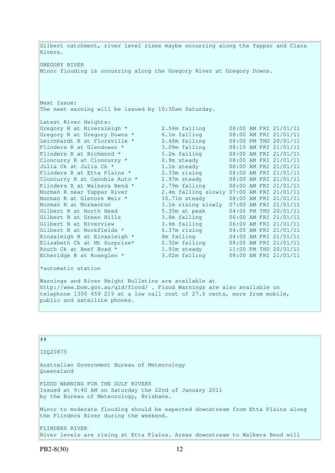Gilbert catchment, river level rises maybe occurring along the Yappar and Clara Rivers. GREGORY RIVER Minor flooding is occurring along the Gregory River at Gregory Downs. Next Issue: The next warning will be issued by 10:30am Saturday. Latest River Heights: Gregory R at Riversleigh \* 2.54m falling 08:00 AM FRI 21/01/11 Gregory R at Gregory Downs \* 6.1m falling 08:00 AM FRI 21/01/11 Leichhardt R at Floraville \* 2.48m falling 08:00 PM THU 20/01/11 Flinders R at Glendower \* 3.09m falling 08:10 AM FRI 21/01/11 Flinders R at Richmond  $*$  5.2m falling 08:00 AM FRI 21/01/11 Cloncurry R at Cloncurry  $*$  0.9m steady 08:00 AM FRI 21/01/11 Julia Ck at Julia Ck \* 1.1m steady 08:00 AM FRI 21/01/11 Flinders R at Etta Plains \* 2.33m rising 08:00 AM FRI 21/01/11 Cloncurry R at Canobie Auto  $*$  2.97m steady 08:00 AM FRI 21/01/11 Flinders R at Walkers Bend  $*$  2.79m falling  $08:00$  AM FRI 21/01/11 Norman R near Yappar River 2.4m falling slowly 07:00 AM FRI 21/01/11 Norman R at Glenore Weir \* 10.71m steady 08:00 AM FRI 21/01/11 Norman R at Normanton 3.1m rising slowly 07:00 AM FRI 21/01/11 Gilbert R at North Head 5.35m at peak 04:00 PM THU 20/01/11 Gilbert R at Green Hills 3.8m falling 06:00 AM FRI 21/01/11 Gilbert R at Riverview 3.6m falling 06:00 AM FRI 21/01/11 Gilbert R at Rockfields  $\star$  6.37m rising 04:00 AM FRI 21/01/11 Einasleigh R at Einasleigh  $\star$  8m falling  $04:00$  AM FRI 21/01/11 Elizabeth Ck at Mt Surprise\* 2.32m falling 08:00 AM FRI 21/01/11 Routh Ck at Beef Road  $\star$  1.91m steady 11:00 PM THU 20/01/11 Etheridge R at Roseglen \* 3.02m falling 08:00 AM FRI 21/01/11 \*automatic station Warnings and River Height Bulletins are available at http://www.bom.gov.au/qld/flood/ . Flood Warnings are also available on telephone 1300 659 219 at a low call cost of 27.5 cents, more from mobile, public and satellite phones.

| ##                                                                                                                                     |
|----------------------------------------------------------------------------------------------------------------------------------------|
| ID020875                                                                                                                               |
| Australian Government Bureau of Meteorology<br>Oueensland                                                                              |
| FLOOD WARNING FOR THE GULF RIVERS<br>Issued at 9:40 AM on Saturday the 22nd of January 2011<br>by the Bureau of Meteorology, Brisbane. |
| Minor to moderate flooding should be expected downstream from Etta Plains along<br>the Flinders River during the weekend.              |
| FLINDERS RIVER<br>River levels are rising at Etta Plains. Areas downstream to Walkers Bend will                                        |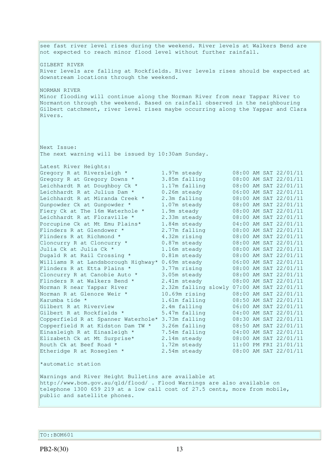see fast river level rises during the weekend. River levels at Walkers Bend are not expected to reach minor flood level without further rainfall. GILBERT RIVER River levels are falling at Rockfields. River levels rises should be expected at downstream locations through the weekend. NORMAN RIVER Minor flooding will continue along the Norman River from near Yappar River to Normanton through the weekend. Based on rainfall observed in the neighbouring Gilbert catchment, river level rises maybe occurring along the Yappar and Clara Rivers. Next Issue: The next warning will be issued by 10:30am Sunday. Latest River Heights: Gregory R at Riversleigh \* 1.97m steady 08:00 AM SAT 22/01/11 Gregory R at Gregory Downs \* 3.85m falling 08:00 AM SAT 22/01/11 Leichhardt R at Doughboy Ck \* 1.17m falling 08:00 AM SAT 22/01/11 Leichhardt R at Julius Dam  $*$  0.26m steady 06:00 AM SAT 22/01/11 Leichhardt R at Miranda Creek \* 2.3m falling 08:00 AM SAT 22/01/11 Gunpowder Ck at Gunpowder \* 1.07m steady 08:00 AM SAT 22/01/11 Fiery Ck at The 16m Waterhole \* 1.9m steady 08:00 AM SAT 22/01/11 Leichhardt R at Floraville  $*$  2.33m steady 08:00 AM SAT 22/01/11 Porcupine Ck at Mt Emu Plains\* 1.84m steady 04:00 AM SAT 22/01/11 Flinders R at Glendower \* 2.77m falling 08:00 AM SAT 22/01/11 Flinders R at Richmond \* 4.32m rising 08:00 AM SAT 22/01/11 Cloncurry R at Cloncurry  $*$  0.87m steady 08:00 AM SAT 22/01/11 Julia Ck at Julia Ck \* 1.16m steady 08:00 AM SAT 22/01/11 Dugald R at Rail Crossing \* 0.81m steady 08:00 AM SAT 22/01/11 Williams R at Landsborough Highway\* 0.69m steady 06:00 AM SAT 22/01/11 Flinders R at Etta Plains  $*$  3.77m rising 08:00 AM SAT 22/01/11 Cloncurry R at Canobie Auto  $\star$  3.05m steady 08:00 AM SAT 22/01/11 Flinders R at Walkers Bend \*  $2.41m$  steady  $08:00$  AM SAT 22/01/11 Norman R near Yappar River 2.32m falling slowly 07:00 AM SAT 22/01/11 Norman R at Glenore Weir \* 10.69m rising 08:00 AM SAT 22/01/11 Karumba tide \* 1.61m falling 08:50 AM SAT 22/01/11 Gilbert R at Riverview 2.4m falling 06:00 AM SAT 22/01/11 Gilbert R at Rockfields \* 5.47m falling 04:00 AM SAT 22/01/11 Copperfield R at Spanner Waterhole\* 3.73m falling 08:30 AM SAT 22/01/11 Copperfield R at Kidston Dam TW  $*$  3.26m falling  $0.8:50$  AM SAT 22/01/11 Einasleigh R at Einasleigh  $*$  7.54m falling  $04:00$  AM SAT 22/01/11 Elizabeth Ck at Mt Surprise\* 2.14m steady 08:00 AM SAT 22/01/11 Routh Ck at Beef Road  $\star$  1.72m steady 11:00 PM FRI 21/01/11 Etheridge R at Roseglen \* 2.54m steady 08:00 AM SAT 22/01/11 \*automatic station Warnings and River Height Bulletins are available at http://www.bom.gov.au/qld/flood/ . Flood Warnings are also available on telephone 1300 659 219 at a low call cost of 27.5 cents, more from mobile, public and satellite phones.

TO::BOM601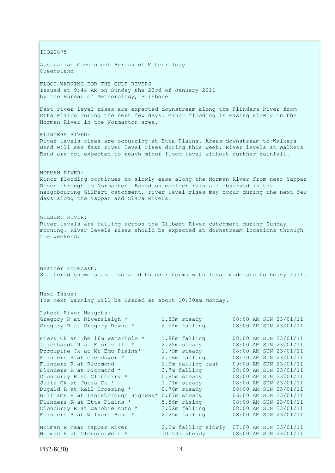IDQ20875 Australian Government Bureau of Meteorology Queensland FLOOD WARNING FOR THE GULF RIVERS Issued at 9:44 AM on Sunday the 23rd of January 2011 by the Bureau of Meteorology, Brisbane. Fast river level rises are expected downstream along the Flinders River from Etta Plains during the next few days. Minor flooding is easing slowly in the Norman River in the Normanton area. FLINDERS RIVER: River levels rises are occurring at Etta Plains. Areas downstream to Walkers Bend will see fast river level rises during this week. River levels at Walkers Bend are not expected to reach minor flood level without further rainfall. NORMAN RIVER: Minor flooding continues to slowly ease along the Norman River from near Yappar River through to Normanton. Based on earlier rainfall observed in the neighbouring Gilbert catchment, river level rises may occur during the next few days along the Yappar and Clara Rivers. GILBERT RIVER: River levels are falling across the Gilbert River catchment during Sunday morning. River levels rises should be expected at downstream locations through the weekend. Weather Forecast: Scattered showers and isolated thunderstorms with local moderate to heavy falls. Next Issue: The next warning will be issued at about 10:30am Monday. Latest River Heights: Gregory R at Riversleigh \* 1.83m steady 08:00 AM SUN 23/01/11 Gregory R at Gregory Downs  $*$  2.54m falling  $08:00$  AM SUN 23/01/11 Fiery Ck at The 16m Waterhole \* 1.88m falling 08:00 AM SUN 23/01/11 Leichhardt R at Floraville \* 2.22m steady 08:00 AM SUN 23/01/11 Porcupine Ck at Mt Emu Plains\* 1.79m steady 08:00 AM SUN 23/01/11 Flinders R at Glendower \* 2.56m falling 08:10 AM SUN 23/01/11 Flinders R at Richmond 2.9m falling fast 09:00 AM SUN 23/01/11 Flinders R at Richmond \* 3.7m falling 08:00 AM SUN 23/01/11 Cloncurry R at Cloncurry  $*$  0.85m steady 08:00 AM SUN 23/01/11 Julia Ck at Julia Ck \* 1.01m steady 08:00 AM SUN 23/01/11 Dugald R at Rail Crossing  $*$  0.76m steady 08:00 AM SUN 23/01/11 Williams R at Landsborough Highway\* 0.67m steady 06:00 AM SUN 23/01/11 Flinders R at Etta Plains  $*$  5.56m rising 08:00 AM SUN 23/01/11 Cloncurry R at Canobie Auto  $*$  3.02m falling  $08:00$  AM SUN 23/01/11 Flinders R at Etta Plains \* 5.56m rising 08:00 AM SUN 23/01/11<br>
Cloncurry R at Canobie Auto \* 3.02m falling 08:00 AM SUN 23/01/11<br>
Flinders R at Walkers Bend \* 2.25m falling 08:00 AM SUN 23/01/11 Norman R near Yappar River 2.2m falling slowly 07:00 AM SUN 23/01/11 Norman R at Glenore Weir \* 10.53m steady 08:00 AM SUN 23/01/11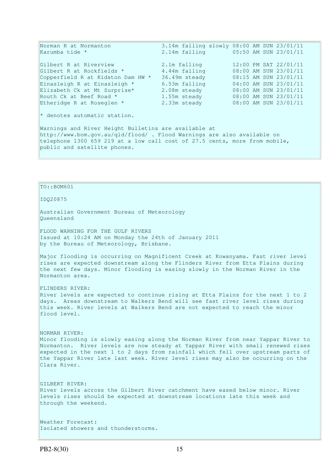| Norman R at Normanton                                                      |               | 3.14m falling slowly 08:00 AM SUN 23/01/11 |  |
|----------------------------------------------------------------------------|---------------|--------------------------------------------|--|
| Karumba tide *                                                             |               | 2.14m falling 05:50 AM SUN 23/01/11        |  |
| Gilbert R at Riverview                                                     | 2.1m falling  | 12:00 PM SAT 22/01/11                      |  |
| Gilbert R at Rockfields *                                                  | 4.44m falling | 08:00 AM SUN 23/01/11                      |  |
| Copperfield R at Kidston Dam HW *                                          | 36.49m steady | 08:15 AM SUN 23/01/11                      |  |
| Einasleigh R at Einasleigh *                                               | 6.53m falling | 04:00 AM SUN 23/01/11                      |  |
| Elizabeth Ck at Mt Surprise*                                               | 2.08m steady  | 08:00 AM SUN 23/01/11                      |  |
| Routh Ck at Beef Road *                                                    | 1.55m steady  | 08:00 AM SUN 23/01/11                      |  |
| Etheridge R at Roseglen *                                                  | 2.33m steady  | 08:00 AM SUN 23/01/11                      |  |
| * denotes automatic station.                                               |               |                                            |  |
| Warnings and River Height Bulletins are available at                       |               |                                            |  |
| http://www.bom.gov.au/qld/flood/ . Flood Warnings are also available on    |               |                                            |  |
| telephone 1300 659 219 at a low call cost of 27.5 cents, more from mobile, |               |                                            |  |

TO::BOM601

public and satellite phones.

IDQ20875

Australian Government Bureau of Meteorology Queensland

FLOOD WARNING FOR THE GULF RIVERS Issued at 10:24 AM on Monday the 24th of January 2011 by the Bureau of Meteorology, Brisbane.

Major flooding is occurring on Magnificent Creek at Kowanyama. Fast river level rises are expected downstream along the Flinders River from Etta Plains during the next few days. Minor flooding is easing slowly in the Norman River in the Normanton area.

FLINDERS RIVER: River levels are expected to continue rising at Etta Plains for the next 1 to 2 days. Areas downstream to Walkers Bend will see fast river level rises during this week. River levels at Walkers Bend are not expected to reach the minor flood level.

NORMAN RIVER:

Minor flooding is slowly easing along the Norman River from near Yappar River to Normanton. River levels are now steady at Yappar River with small renewed rises expected in the next 1 to 2 days from rainfall which fell over upstream parts of the Yappar River late last week. River level rises may also be occurring on the Clara River.

GILBERT RIVER: River levels across the Gilbert River catchment have eased below minor. River levels rises should be expected at downstream locations late this week and through the weekend.

Weather Forecast: Isolated showers and thunderstorms.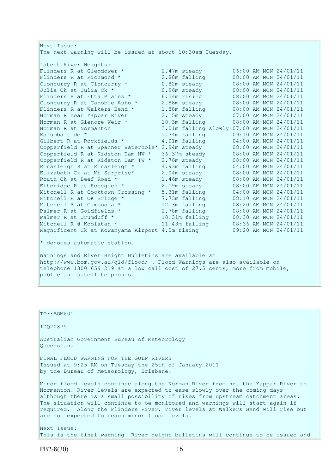| Next Issue:                                                                                                                                                                                                  |                |                                            |
|--------------------------------------------------------------------------------------------------------------------------------------------------------------------------------------------------------------|----------------|--------------------------------------------|
| The next warning will be issued at about 10:30am Tuesday.                                                                                                                                                    |                |                                            |
| Latest River Heights:                                                                                                                                                                                        |                |                                            |
| Flinders R at Glendower *                                                                                                                                                                                    | 2.47m steady   | 06:00 AM MON 24/01/11                      |
| Flinders R at Richmond *                                                                                                                                                                                     | 2.88m falling  | 08:00 AM MON 24/01/11                      |
| Cloncurry R at Cloncurry *                                                                                                                                                                                   | 0.82m steady   | 08:00 AM MON 24/01/11                      |
| Julia Ck at Julia Ck *                                                                                                                                                                                       | 0.96m steady   | 08:00 AM MON 24/01/11                      |
| Flinders R at Etta Plains *                                                                                                                                                                                  | 6.54m rising   | 08:00 AM MON 24/01/11                      |
| Cloncurry R at Canobie Auto *                                                                                                                                                                                | 2.88m steady   | 08:00 AM MON 24/01/11                      |
| Flinders R at Walkers Bend *                                                                                                                                                                                 | 1.88m falling  | 08:00 AM MON 24/01/11                      |
| Norman R near Yappar River                                                                                                                                                                                   | 2.15m steady   | 07:00 AM MON 24/01/11                      |
| Norman R at Glenore Weir *                                                                                                                                                                                   | 10.3m falling  | 08:00 AM MON 24/01/11                      |
| Norman R at Normanton                                                                                                                                                                                        |                | 3.01m falling slowly 07:00 AM MON 24/01/11 |
| Karumba tide *                                                                                                                                                                                               | 1.74m falling  | 09:10 AM MON 24/01/11                      |
| Gilbert R at Rockfields *                                                                                                                                                                                    | 4.01m falling  | 04:00 AM MON 24/01/11                      |
| Copperfield R at Spanner Waterhole*                                                                                                                                                                          | 2.94m steady   | 08:00 AM MON 24/01/11                      |
| Copperfield R at Kidston Dam HW *                                                                                                                                                                            | 36.37m steady  | 08:00 AM MON 24/01/11                      |
| Copperfield R at Kidston Dam TW *                                                                                                                                                                            | 2.76m steady   | 08:00 AM MON 24/01/11                      |
| Einasleigh R at Einasleigh *                                                                                                                                                                                 | 4.93m falling  | 04:00 AM MON 24/01/11                      |
| Elizabeth Ck at Mt Surprise*                                                                                                                                                                                 | 2.04m steady   | 08:00 AM MON 24/01/11                      |
| Routh Ck at Beef Road *                                                                                                                                                                                      | 1.46m steady   | 08:00 AM MON 24/01/11                      |
| Etheridge R at Roseglen *                                                                                                                                                                                    | 2.19m steady   | 08:00 AM MON 24/01/11                      |
| Mitchell R at Cooktown Crossing *                                                                                                                                                                            | 5.31m falling  | 04:00 AM MON 24/01/11                      |
| Mitchell R at OK Bridge *                                                                                                                                                                                    | 7.73m falling  | 08:10 AM MON 24/01/11                      |
| Mitchell R at Gamboola *                                                                                                                                                                                     | 12.3m falling  | 08:20 AM MON 24/01/11                      |
| Palmer R at Goldfields *                                                                                                                                                                                     | 2.78m falling  | 08:00 AM MON 24/01/11                      |
| Palmer R at Drumduff *                                                                                                                                                                                       | 10.31m falling | 08:30 AM MON 24/01/11                      |
| Mitchell R @ Koolatah *                                                                                                                                                                                      | 11.48m falling | 08:36 AM MON 24/01/11                      |
| Magnificent Ck at Kowanyama Airport 4.0m rising                                                                                                                                                              |                | 09:20 AM MON 24/01/11                      |
| * denotes automatic station.                                                                                                                                                                                 |                |                                            |
| Warnings and River Height Bulletins are available at<br>http://www.bom.gov.au/gld/flood/. Flood Warnings are also available on<br>telephone 1300 659 219 at a low call cost of 27.5 cents, more from mobile, |                |                                            |
| public and satellite phones.                                                                                                                                                                                 |                |                                            |

| TO::BOM601                                                                                                                                                                                                                                                                                                                                                                                                                                                      |
|-----------------------------------------------------------------------------------------------------------------------------------------------------------------------------------------------------------------------------------------------------------------------------------------------------------------------------------------------------------------------------------------------------------------------------------------------------------------|
| ID020875                                                                                                                                                                                                                                                                                                                                                                                                                                                        |
| Australian Government Bureau of Meteorology<br>Oueensland                                                                                                                                                                                                                                                                                                                                                                                                       |
| FINAL FLOOD WARNING FOR THE GULF RIVERS<br>Issued at 9:25 AM on Tuesday the 25th of January 2011<br>by the Bureau of Meteorology, Brisbane.                                                                                                                                                                                                                                                                                                                     |
| Minor flood levels continue along the Norman River from nr. the Yappar River to<br>Normanton. River levels are expected to ease slowly over the coming days<br>although there is a small possibility of rises from upstream catchment areas.<br>The situation will continue to be monitored and warnings will start again if<br>required. Along the Flinders River, river levels at Walkers Bend will rise but<br>are not expected to reach minor flood levels. |
| Next Issue:<br>This is the final warning. River height bulletins will continue to be issued and                                                                                                                                                                                                                                                                                                                                                                 |
|                                                                                                                                                                                                                                                                                                                                                                                                                                                                 |